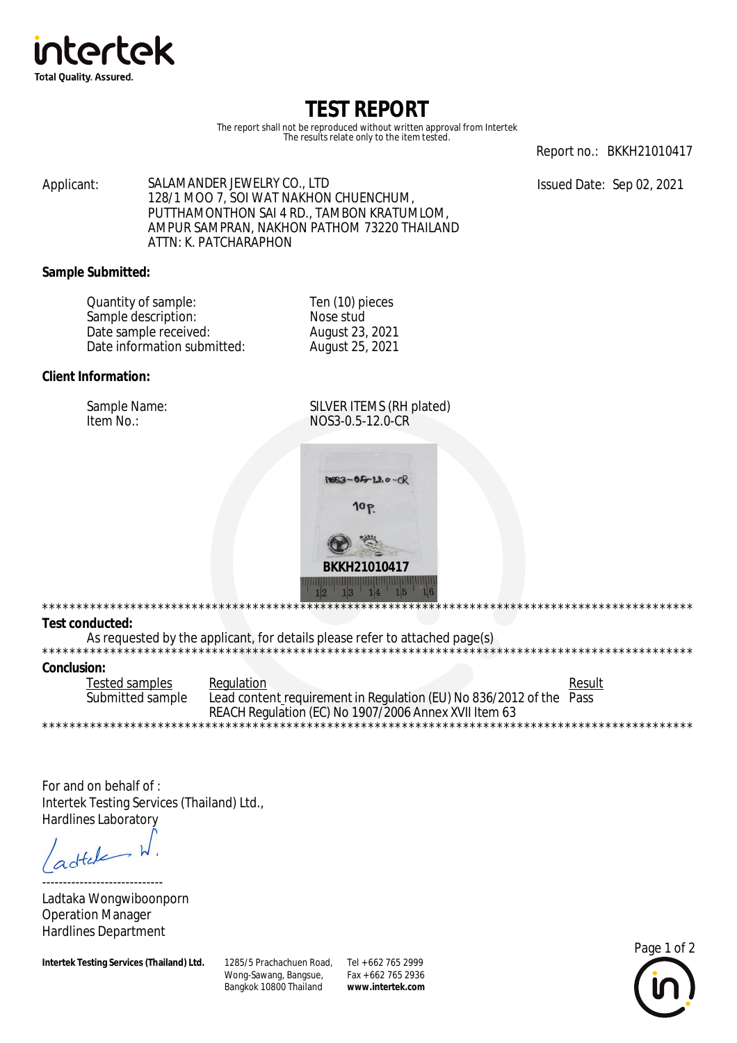

# TEST REPORT

The report shall not be reproduced without written approval from Intertek The results relate only to the item tested.

Report no.: BKKH21010417

Issued Date: Sep 02, 2021

SALAMANDER JEWELRY CO., LTD Applicant: 128/1 MOO 7, SOI WAT NAKHON CHUENCHUM, PUTTHAMONTHON SAI 4 RD., TAMBON KRATUMLOM, AMPUR SAMPRAN, NAKHON PATHOM 73220 THAILAND ATTN: K. PATCHARAPHON

# **Sample Submitted:**

| Quantity of sample:         | Ten (10) pieces |  |
|-----------------------------|-----------------|--|
| Sample description:         | Nose stud       |  |
| Date sample received:       | August 23, 2021 |  |
| Date information submitted: | August 25, 2021 |  |

# Client Information:

Sample Name: Item No.:

SILVER ITEMS (RH plated) NOS3-0.5-12.0-CR



#### **Test conducted:**

\*\*\*\*\*\*\*\*\*\*\*\*\*\*\*\*\*\*\*

As requested by the applicant, for details please refer to attached page(s)

#### **Conclusion:**

 $***$ 

**Tested samples** Regulation Result Submitted sample Lead content requirement in Regulation (EU) No 836/2012 of the Pass REACH Regulation (EC) No 1907/2006 Annex XVII Item 63 \*\*\*\*\*\*\*\*\*\*\*\*\*\*\*\*\*

For and on behalf of: Intertek Testing Services (Thailand) Ltd., **Hardlines Laboratory** 

 $dt$ 

Ladtaka Wongwiboonporn **Operation Manager Hardlines Department** 

**Intertek Testing Services (Thailand) Ltd.** 

1285/5 Prachachuen Road, Tel + 662 765 2999 Wong-Sawang, Bangsue, Bangkok 10800 Thailand

Fax + 662 765 2936 www.intertek.com